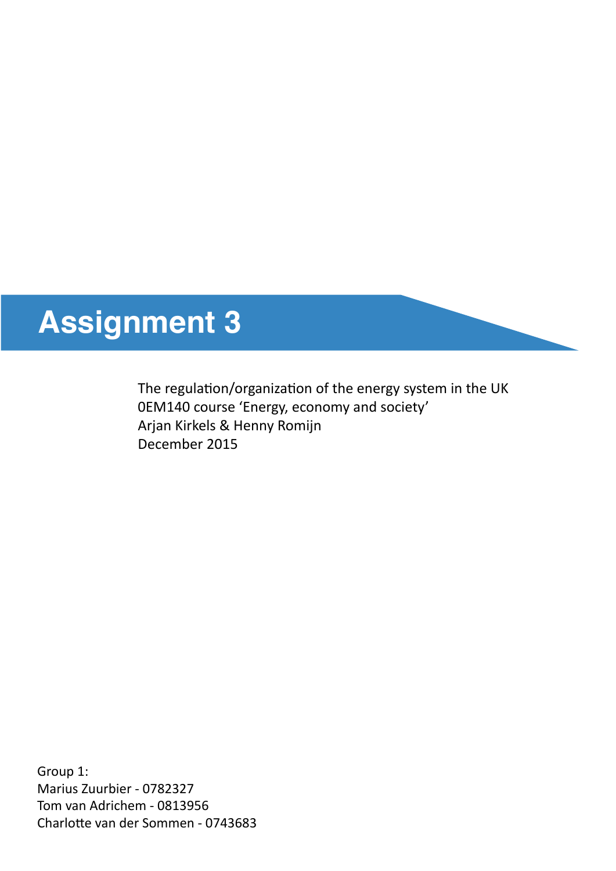# **Assignment 3**

The regulation/organization of the energy system in the UK 0EM140 course 'Energy, economy and society' Arjan Kirkels & Henny Romijn December 2015

Group 1: Marius Zuurbier - 0782327 Tom van Adrichem - 0813956 Charlote van der Sommen - 0743683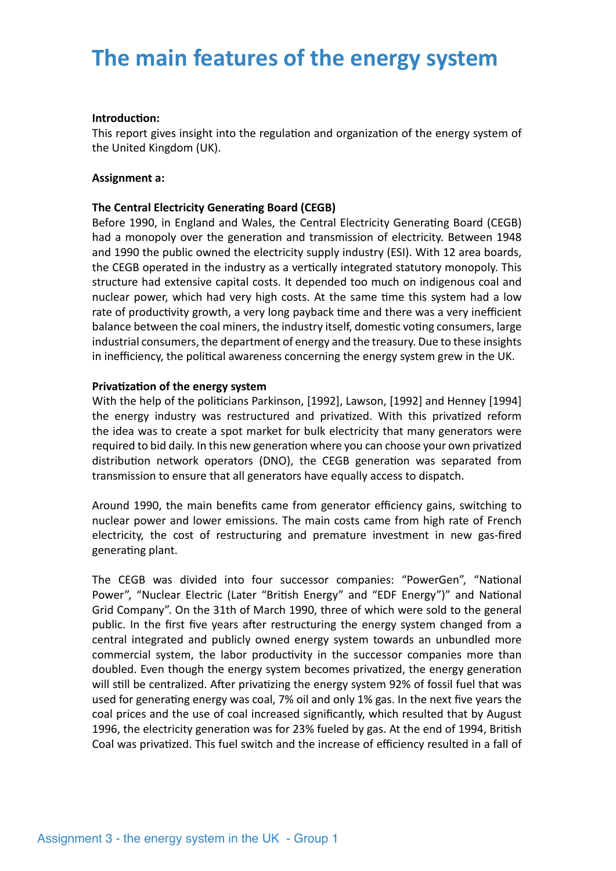## **The main features of the energy system**

#### **Introduction:**

This report gives insight into the regulation and organization of the energy system of the United Kingdom (UK).

### **Assignment a:**

#### **The Central Electricity Generatng Board (CEGB)**

Before 1990, in England and Wales, the Central Electricity Generating Board (CEGB) had a monopoly over the generation and transmission of electricity. Between 1948 and 1990 the public owned the electricity supply industry (ESI). With 12 area boards, the CEGB operated in the industry as a vertcally integrated statutory monopoly. This structure had extensive capital costs. It depended too much on indigenous coal and nuclear power, which had very high costs. At the same time this system had a low rate of productivity growth, a very long payback time and there was a very inefficient balance between the coal miners, the industry itself, domestic voting consumers, large industrial consumers, the department of energy and the treasury. Due to these insights in inefficiency, the political awareness concerning the energy system grew in the UK.

#### **Privatzaton of the energy system**

With the help of the politicians Parkinson, [1992], Lawson, [1992] and Henney [1994] the energy industry was restructured and privatized. With this privatized reform the idea was to create a spot market for bulk electricity that many generators were required to bid daily. In this new generation where you can choose your own privatized distribution network operators (DNO), the CEGB generation was separated from transmission to ensure that all generators have equally access to dispatch.

Around 1990, the main benefits came from generator efficiency gains, switching to nuclear power and lower emissions. The main costs came from high rate of French electricity, the cost of restructuring and premature investment in new gas-fred generating plant.

The CEGB was divided into four successor companies: "PowerGen", "National Power", "Nuclear Electric (Later "Britsh Energy" and "EDF Energy")" and Natonal Grid Company". On the 31th of March 1990, three of which were sold to the general public. In the first five years after restructuring the energy system changed from a central integrated and publicly owned energy system towards an unbundled more commercial system, the labor productivity in the successor companies more than doubled. Even though the energy system becomes privatzed, the energy generaton will still be centralized. After privatizing the energy system 92% of fossil fuel that was used for generating energy was coal, 7% oil and only 1% gas. In the next five years the coal prices and the use of coal increased signifcantly, which resulted that by August 1996, the electricity generation was for 23% fueled by gas. At the end of 1994, British Coal was privatized. This fuel switch and the increase of efficiency resulted in a fall of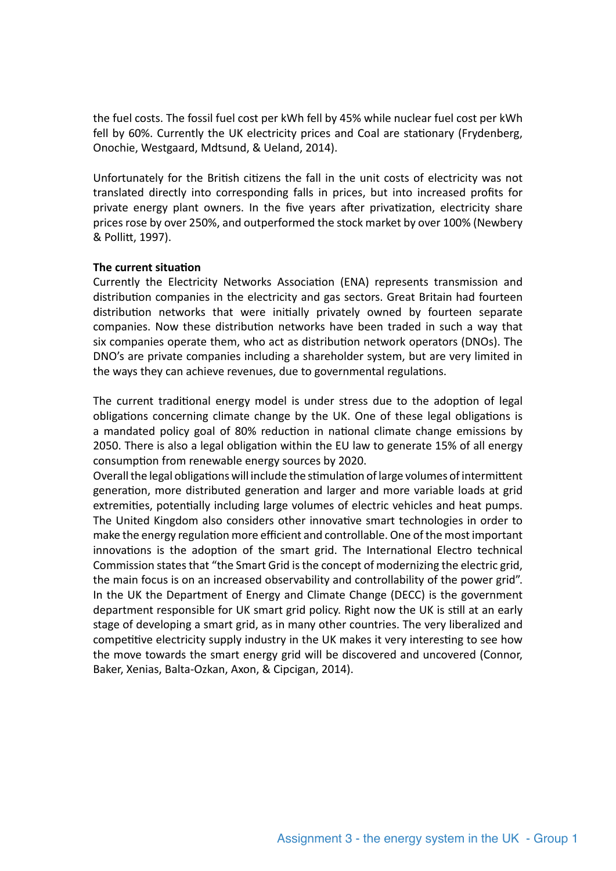the fuel costs. The fossil fuel cost per kWh fell by 45% while nuclear fuel cost per kWh fell by 60%. Currently the UK electricity prices and Coal are statonary (Frydenberg, Onochie, Westgaard, Mdtsund, & Ueland, 2014).

Unfortunately for the Britsh citzens the fall in the unit costs of electricity was not translated directly into corresponding falls in prices, but into increased profts for private energy plant owners. In the five years after privatization, electricity share prices rose by over 250%, and outperformed the stock market by over 100% (Newbery & Pollit, 1997).

### **The current situation**

Currently the Electricity Networks Association (ENA) represents transmission and distribution companies in the electricity and gas sectors. Great Britain had fourteen distributon networks that were initally privately owned by fourteen separate companies. Now these distribution networks have been traded in such a way that six companies operate them, who act as distribution network operators (DNOs). The DNO's are private companies including a shareholder system, but are very limited in the ways they can achieve revenues, due to governmental regulations.

The current traditional energy model is under stress due to the adoption of legal obligations concerning climate change by the UK. One of these legal obligations is a mandated policy goal of 80% reduction in national climate change emissions by 2050. There is also a legal obligation within the EU law to generate 15% of all energy consumption from renewable energy sources by 2020.

Overall the legal obligations will include the stimulation of large volumes of intermittent generation, more distributed generation and larger and more variable loads at grid extremities, potentially including large volumes of electric vehicles and heat pumps. The United Kingdom also considers other innovative smart technologies in order to make the energy regulation more efficient and controllable. One of the most important innovations is the adoption of the smart grid. The International Electro technical Commission states that "the Smart Grid is the concept of modernizing the electric grid, the main focus is on an increased observability and controllability of the power grid". In the UK the Department of Energy and Climate Change (DECC) is the government department responsible for UK smart grid policy. Right now the UK is stll at an early stage of developing a smart grid, as in many other countries. The very liberalized and competitive electricity supply industry in the UK makes it very interesting to see how the move towards the smart energy grid will be discovered and uncovered (Connor, Baker, Xenias, Balta-Ozkan, Axon, & Cipcigan, 2014).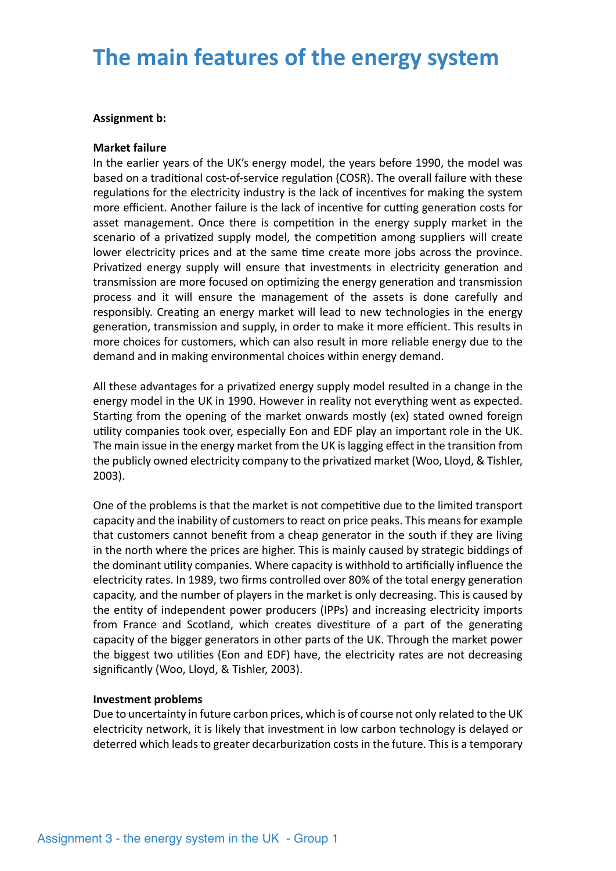## **The main features of the energy system**

#### **Assignment b:**

#### **Market failure**

In the earlier years of the UK's energy model, the years before 1990, the model was based on a traditonal cost-of-service regulaton (COSR). The overall failure with these regulations for the electricity industry is the lack of incentives for making the system more efficient. Another failure is the lack of incentive for cutting generation costs for asset management. Once there is competition in the energy supply market in the scenario of a privatized supply model, the competition among suppliers will create lower electricity prices and at the same time create more jobs across the province. Privatized energy supply will ensure that investments in electricity generation and transmission are more focused on optmizing the energy generaton and transmission process and it will ensure the management of the assets is done carefully and responsibly. Creating an energy market will lead to new technologies in the energy generation, transmission and supply, in order to make it more efficient. This results in more choices for customers, which can also result in more reliable energy due to the demand and in making environmental choices within energy demand.

All these advantages for a privatized energy supply model resulted in a change in the energy model in the UK in 1990. However in reality not everything went as expected. Starting from the opening of the market onwards mostly (ex) stated owned foreign utlity companies took over, especially Eon and EDF play an important role in the UK. The main issue in the energy market from the UK is lagging efect in the transiton from the publicly owned electricity company to the privatzed market (Woo, Lloyd, & Tishler, 2003).

One of the problems is that the market is not competitive due to the limited transport capacity and the inability of customers to react on price peaks. This means for example that customers cannot beneft from a cheap generator in the south if they are living in the north where the prices are higher. This is mainly caused by strategic biddings of the dominant utility companies. Where capacity is withhold to artificially influence the electricity rates. In 1989, two frms controlled over 80% of the total energy generaton capacity, and the number of players in the market is only decreasing. This is caused by the entity of independent power producers (IPPs) and increasing electricity imports from France and Scotland, which creates divestiture of a part of the generating capacity of the bigger generators in other parts of the UK. Through the market power the biggest two utilities (Eon and EDF) have, the electricity rates are not decreasing signifcantly (Woo, Lloyd, & Tishler, 2003).

#### **Investment problems**

Due to uncertainty in future carbon prices, which is of course not only related to the UK electricity network, it is likely that investment in low carbon technology is delayed or deterred which leads to greater decarburizaton costs in the future. This is a temporary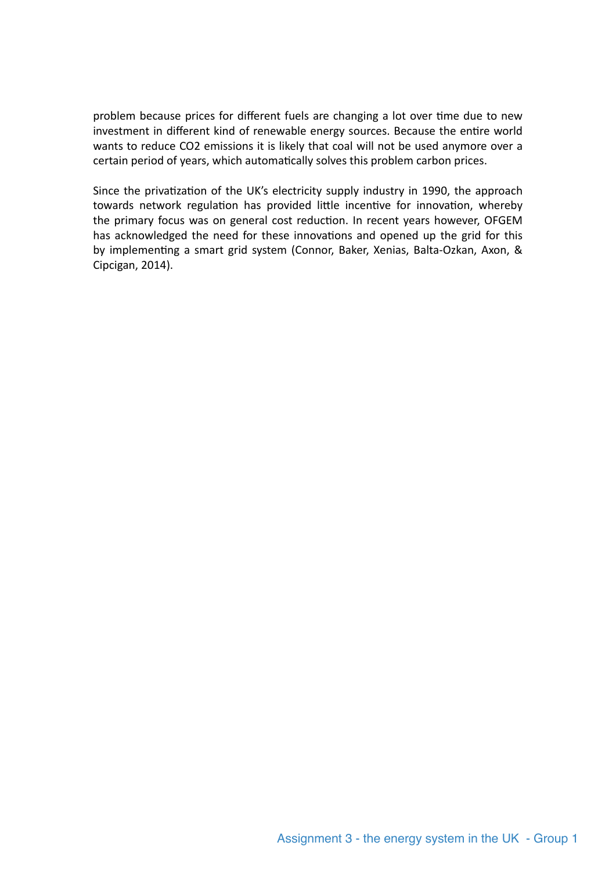problem because prices for diferent fuels are changing a lot over tme due to new investment in diferent kind of renewable energy sources. Because the entre world wants to reduce CO2 emissions it is likely that coal will not be used anymore over a certain period of years, which automatically solves this problem carbon prices.

Since the privatization of the UK's electricity supply industry in 1990, the approach towards network regulation has provided little incentive for innovation, whereby the primary focus was on general cost reduction. In recent years however, OFGEM has acknowledged the need for these innovations and opened up the grid for this by implementing a smart grid system (Connor, Baker, Xenias, Balta-Ozkan, Axon, & Cipcigan, 2014).